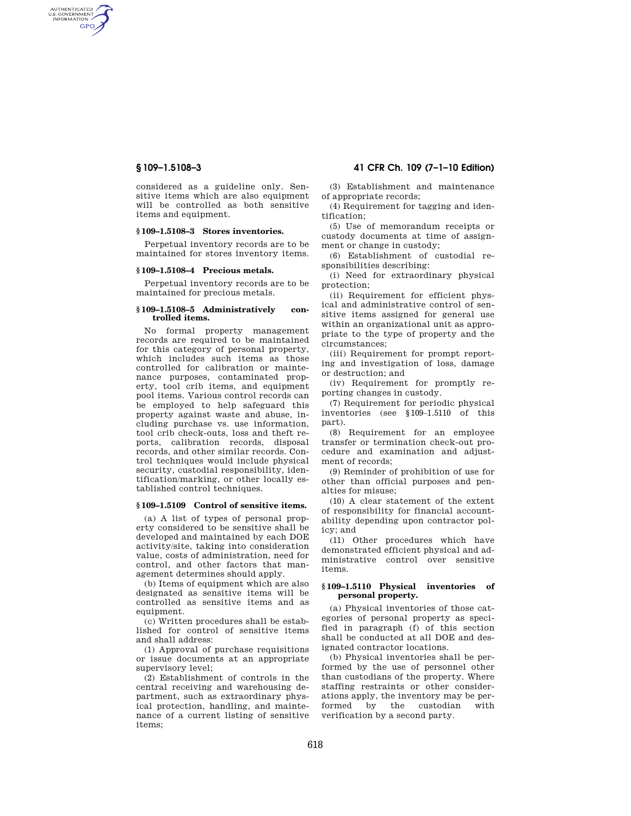AUTHENTICATED<br>U.S. GOVERNMENT<br>INFORMATION GPO

> considered as a guideline only. Sensitive items which are also equipment will be controlled as both sensitive items and equipment.

# **§ 109–1.5108–3 Stores inventories.**

Perpetual inventory records are to be maintained for stores inventory items.

# **§ 109–1.5108–4 Precious metals.**

Perpetual inventory records are to be maintained for precious metals.

#### **§ 109–1.5108–5 Administratively controlled items.**

No formal property management records are required to be maintained for this category of personal property, which includes such items as those controlled for calibration or maintenance purposes, contaminated property, tool crib items, and equipment pool items. Various control records can be employed to help safeguard this property against waste and abuse, including purchase vs. use information, tool crib check-outs, loss and theft reports, calibration records, disposal records, and other similar records. Control techniques would include physical security, custodial responsibility, identification/marking, or other locally established control techniques.

### **§ 109–1.5109 Control of sensitive items.**

(a) A list of types of personal property considered to be sensitive shall be developed and maintained by each DOE activity/site, taking into consideration value, costs of administration, need for control, and other factors that management determines should apply.

(b) Items of equipment which are also designated as sensitive items will be controlled as sensitive items and as equipment.

(c) Written procedures shall be established for control of sensitive items and shall address:

(1) Approval of purchase requisitions or issue documents at an appropriate supervisory level;

(2) Establishment of controls in the central receiving and warehousing department, such as extraordinary physical protection, handling, and maintenance of a current listing of sensitive items;

**§ 109–1.5108–3 41 CFR Ch. 109 (7–1–10 Edition)** 

(3) Establishment and maintenance of appropriate records;

(4) Requirement for tagging and identification;

(5) Use of memorandum receipts or custody documents at time of assignment or change in custody;

(6) Establishment of custodial responsibilities describing:

(i) Need for extraordinary physical protection;

(ii) Requirement for efficient physical and administrative control of sensitive items assigned for general use within an organizational unit as appropriate to the type of property and the circumstances;

(iii) Requirement for prompt reporting and investigation of loss, damage or destruction; and

(iv) Requirement for promptly reporting changes in custody.

(7) Requirement for periodic physical inventories (see §109–1.5110 of this part).

(8) Requirement for an employee transfer or termination check-out procedure and examination and adjustment of records;

(9) Reminder of prohibition of use for other than official purposes and penalties for misuse;

(10) A clear statement of the extent of responsibility for financial accountability depending upon contractor policy; and

(11) Other procedures which have demonstrated efficient physical and administrative control over sensitive items.

# **§ 109–1.5110 Physical inventories of personal property.**

(a) Physical inventories of those categories of personal property as specified in paragraph (f) of this section shall be conducted at all DOE and designated contractor locations.

(b) Physical inventories shall be performed by the use of personnel other than custodians of the property. Where staffing restraints or other considerations apply, the inventory may be performed by the custodian with verification by a second party.